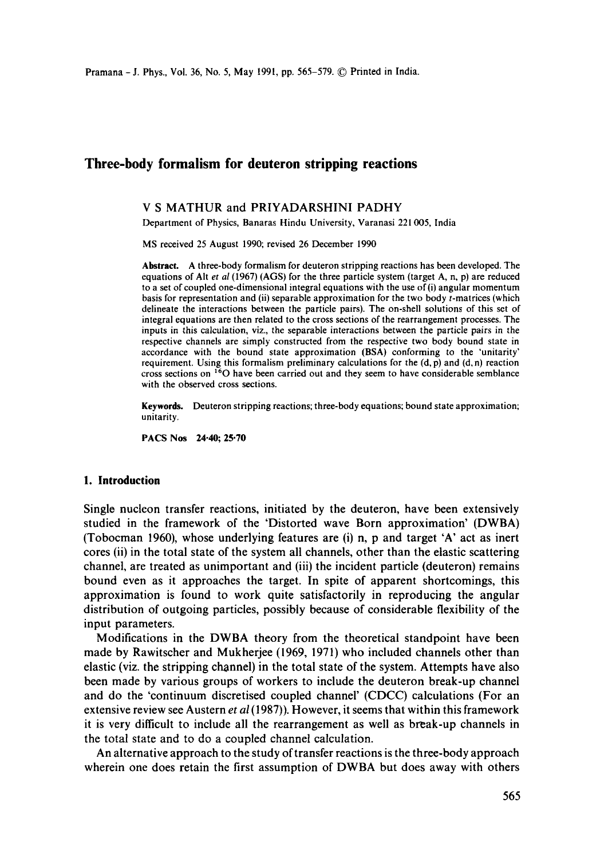# **Three-body formalism for deuteron stripping reactions**

# V S MATHUR and PRIYADARSHINI PADHY

Department of Physics, Banaras Hindu University, Varanasi 221005, India

MS received 25 August 1990; revised 26 December 1990

**Abstract.** A three-body formalism for deuteron stripping reactions has been developed. The equations of Alt *et al* (1967) (AGS) for the three particle system (target A, n, p) are reduced to a set of coupled one-dimensional integral equations with the use of (i) angular momentum basis for representation and (ii) separable approximation for the two body t-matrices (which delineate the interactions between the particle pairs). The on-shell solutions of this set of integral equations are then related to the cross sections of the rearrangement processes. The inputs in this calculation, viz., the separable interactions between the particle pairs in the respective channels are simply constructed from the respective two body bound state in accordance with the bound state approximation (BSA) conforming to the 'unitarity' requirement. Using this formalism preliminary calculations for the  $(d, p)$  and  $(d, n)$  reaction cross sections on 160 have been carried out and they seem to have considerable semblance with the observed cross sections.

**Keywords.** Deuteron stripping reactions; three-body equations; bound state approximation; unitarity.

**PACS Nos 24.40; 25.70** 

# **1. Introduction**

Single nucleon transfer reactions, initiated by the deuteron, have been extensively studied in the framework of the 'Distorted wave Born approximation' (DWBA) (Tobocman 1960), whose underlying features are (i) n, p and target 'A' act as inert cores (ii) in the total state of the system all channels, other than the elastic scattering channel, are treated as unimportant and (iii) the incident particle (deuteron) remains bound even as it approaches the target. In spite of apparent shortcomings, this approximation is found to work quite satisfactorily in reproducing the angular distribution of outgoing particles, possibly because of considerable flexibility of the input parameters.

Modifications in the DWBA theory from the theoretical standpoint have been made by Rawitscher and Mukherjee (1969, 1971) who included channels other than elastic (viz. the stripping channel) in the total state of the system. Attempts have also been made by various groups of workers to include the deuteron break-up channel and do the 'continuum discretised coupled channel' (CDCC) calculations (For an extensive review see Austern *et al* (1987)). However, it seems that within this framework it is very difficult to include all the rearrangement as well as break-up channels in the total state and to do a coupled channel calculation.

An alternative approach to the study of transfer reactions is the three-body approach wherein one does retain the first assumption of DWBA but does away with others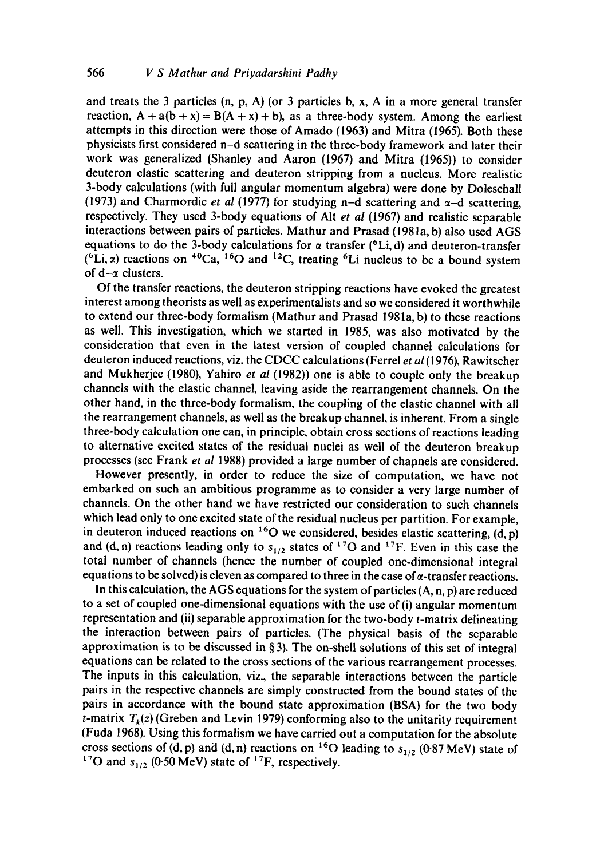and treats the 3 particles  $(n, p, A)$  (or 3 particles b, x, A in a more general transfer reaction,  $A + a(b + x) = B(A + x) + b$ , as a three-body system. Among the earliest attempts in this direction were those of Amado (1963) and Mitra (1965). Both these physicists first considered n-d scattering in the three-body framework and later their work was generalized (Shanley and Aaron (1967) and Mitra (1965)) to consider deuteron elastic scattering and deuteron stripping from a nucleus. More realistic 3-body calculations (with full angular momentum algebra) were done by Doleschall (1973) and Charmordic *et al* (1977) for studying n-d scattering and  $\alpha$ -d scattering, respectively. They used 3-body equations of Altet *al* (1967) and realistic separable interactions between pairs of particles. Mathur and Prasad (1981a, b) also used AGS equations to do the 3-body calculations for  $\alpha$  transfer (<sup>6</sup>Li, d) and deuteron-transfer  $({}^{6}Li, \alpha)$  reactions on  ${}^{40}Ca$ ,  ${}^{16}O$  and  ${}^{12}C$ , treating  ${}^{6}Li$  nucleus to be a bound system of  $d-\alpha$  clusters.

Of the transfer reactions, the deuteron stripping reactions have evoked the greatest interest among theorists as well as experimentalists and so we considered it worthwhile to extend our three-body formalism (Mathur and Prasad 1981a, b) to these reactions as well. This investigation, which we started in 1985, was also motivated by the consideration that even in the latest version of coupled channel calculations for deuteron induced reactions, viz. the CDCC calculations (Ferrel *et al* (1976), Rawitscher and Mukherjee (1980), Yahiro *et al* (1982)) one is able to couple only the breakup channels with the elastic channel, leaving aside the rearrangement channels. On the other hand, in the three-body formalism, the coupling of the elastic channel with all the rearrangement channels, as well as the breakup channel, is inherent. From a single three-body calculation one can, in principle, obtain cross sections of reactions leading to alternative excited states of the residual nuclei as well of the deuteron breakup processes (see Frank *et al* 1988) provided a large number of channels are considered.

However presently, in order to reduce the size of computation, we have not embarked on such an ambitious programme as to consider a very large number of channels. On the other hand we have restricted our consideration to such channels which lead only to one excited state of the residual nucleus per partition. For example, in deuteron induced reactions on  $^{16}$ O we considered, besides elastic scattering, (d, p) and (d, n) reactions leading only to  $s_{1/2}$  states of <sup>17</sup>O and <sup>17</sup>F. Even in this case the total number of channels (hence the number of coupled one-dimensional integral equations to be solved) is eleven as compared to three in the case of  $\alpha$ -transfer reactions.

In this calculation, the AGS equations for the system of particles  $(A, n, p)$  are reduced to a set of coupled one-dimensional equations with the use of (i) angular momentum representation and (ii) separable approximation for the two-body  $t$ -matrix delineating the interaction between pairs of particles. (The physical basis of the separable approximation is to be discussed in  $\S 3$ ). The on-shell solutions of this set of integral equations can be related to the cross sections of the various rearrangement processes. The inputs in this calculation, viz., the separable interactions between the particle pairs in the respective channels are simply constructed from the bound states of the pairs in accordance with the bound state approximation (BSA) for the two body *t*-matrix  $T_k(z)$  (Greben and Levin 1979) conforming also to the unitarity requirement (Fuda 1968). Using this formalism we have carried out a computation for the absolute cross sections of (d, p) and (d, n) reactions on <sup>16</sup>O leading to  $s_{1/2}$  (0.87 MeV) state of <sup>17</sup>O and  $s_{1/2}$  (0.50 MeV) state of <sup>17</sup>F, respectively.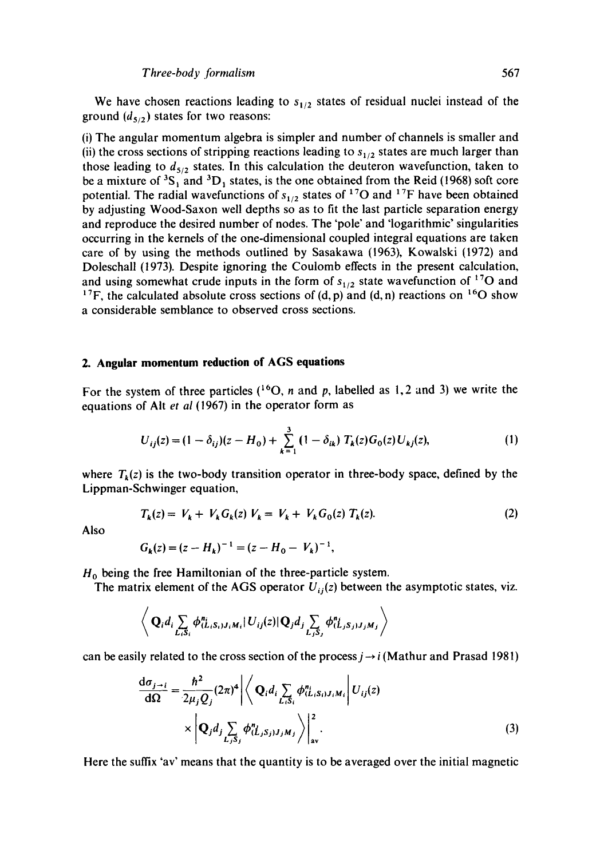We have chosen reactions leading to  $s_{1/2}$  states of residual nuclei instead of the ground  $(d_{5/2})$  states for two reasons:

(i) The angular momentum algebra is simpler and number of channels is smaller and (ii) the cross sections of stripping reactions leading to  $s_{1/2}$  states are much larger than those leading to  $d_{5/2}$  states. In this calculation the deuteron wavefunction, taken to be a mixture of  ${}^{3}S_{1}$  and  ${}^{3}D_{1}$  states, is the one obtained from the Reid (1968) soft core potential. The radial wavefunctions of  $s_{1/2}$  states of <sup>17</sup>O and <sup>17</sup>F have been obtained by adjusting Wood-Saxon well depths so as to fit the last particle separation energy and reproduce the desired number of nodes. The 'pole' and 'logarithmic' singularities occurring in the kernels of the one-dimensional coupled integral equations are taken care of by using the methods outlined by Sasakawa (1963), Kowalski (1972) and Doleschall (1973). Despite ignoring the Coulomb effects in the present calculation, and using somewhat crude inputs in the form of  $s_{1/2}$  state wavefunction of <sup>17</sup>O and <sup>17</sup>F, the calculated absolute cross sections of (d, p) and (d, n) reactions on <sup>16</sup>O show a considerable semblance to observed cross sections.

#### **2. Angular momentum reduction of AGS equations**

For the system of three particles  $({}^{16}O, n$  and p, labelled as 1, 2 and 3) we write the equations of AIt *et al* (1967) in the operator form as

$$
U_{ij}(z) = (1 - \delta_{ij})(z - H_0) + \sum_{k=1}^{3} (1 - \delta_{ik}) T_k(z) G_0(z) U_{kj}(z),
$$
 (1)

where  $T_k(z)$  is the two-body transition operator in three-body space, defined by the Lippman-Schwinger equation,

$$
T_k(z) = V_k + V_k G_k(z) V_k = V_k + V_k G_0(z) T_k(z).
$$
 (2)

Also

$$
G_k(z) = (z - H_k)^{-1} = (z - H_0 - V_k)^{-1},
$$

 $H_0$  being the free Hamiltonian of the three-particle system.

The matrix element of the AGS operator  $U_{ij}(z)$  between the asymptotic states, viz.

$$
\left\langle \mathbf{Q}_i d_i \sum_{L_i S_i} \phi_{(L_i S_i) J_i M_i}^{n_i} | U_{ij}(z) | \mathbf{Q}_j d_j \sum_{L_j S_j} \phi_{(L_j S_j) J_j M_j}^{n_i} \right\rangle
$$

can be easily related to the cross section of the process  $j \rightarrow i$  (Mathur and Prasad 1981)

$$
\frac{d\sigma_{j \to i}}{d\Omega} = \frac{\hbar^2}{2\mu_j Q_j} (2\pi)^4 \left| \left\langle \mathbf{Q}_i d_i \sum_{L_i S_i} \phi_{(L_i S_i) J_i M_i}^n \right| U_{ij}(z) \right|
$$
  
 
$$
\times \left| \mathbf{Q}_j d_j \sum_{L_j S_j} \phi_{(L_j S_j) J_j M_j}^n \right\rangle \Big|_{\text{av}}^2.
$$
 (3)

Here the suffix 'av' means that the quantity is to be averaged over the initial magnetic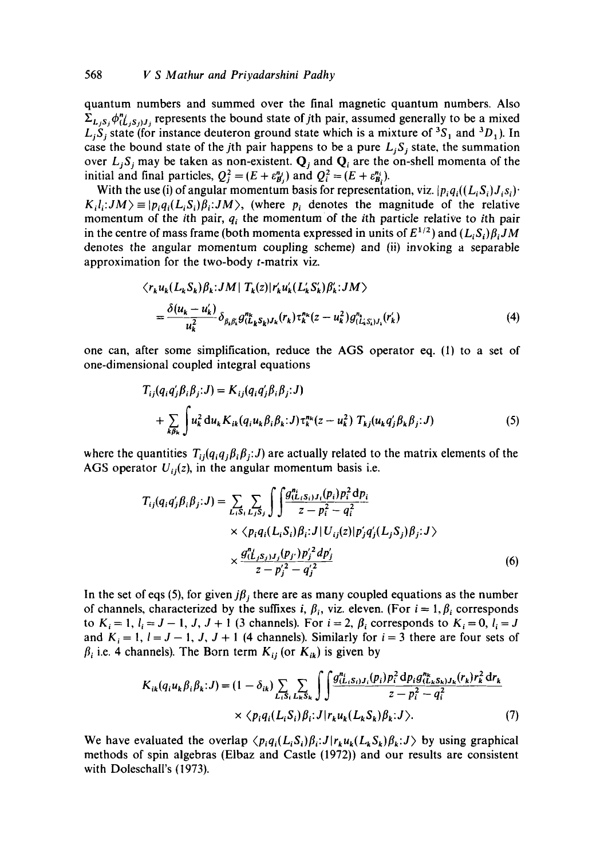quantum numbers and summed over the final magnetic quantum numbers. Also  $\Sigma_{L_i,s_i}\phi_{(L_i,s_i),i}^n$  represents the bound state of *j*th pair, assumed generally to be a mixed  $L_i S_i$  state (for instance deuteron ground state which is a mixture of <sup>3</sup>S<sub>1</sub> and <sup>3</sup>D<sub>1</sub>). In case the bound state of the *j*th pair happens to be a pure  $L_i S_i$  state, the summation over  $L_j S_j$  may be taken as non-existent.  $Q_j$  and  $Q_i$  are the on-shell momenta of the initial and final particles,  $Q_i^2 = (E + \varepsilon_{B_i}^{n_j})$  and  $Q_i^2 = (E + \varepsilon_{B_i}^{n_i})$ .

With the use (i) of angular momentum basis for representation, viz.  $|p_i q_i((L_i S_i) J_i s_i)|$ .  $K_i l_i: JM \ge |p_i q_i(L_i S_i) \beta_i: JM \rangle$ , (where  $p_i$  denotes the magnitude of the relative momentum of the *i*th pair,  $q_i$  the momentum of the *i*th particle relative to *i*th pair in the centre of mass frame (both momenta expressed in units of  $E^{1/2}$ ) and  $(L_i S_i) \beta_i J M$ denotes the angular momentum coupling scheme) and (ii) invoking a separable approximation for the two-body t-matrix viz.

$$
\langle r_{k} u_{k}(L_{k} S_{k}) \beta_{k}: JM \mid T_{k}(z) \mid r'_{k} u'_{k}(L'_{k} S'_{k}) \beta'_{k}: JM \rangle
$$
  
= 
$$
\frac{\delta(u_{k} - u'_{k})}{u_{k}^{2}} \delta_{\beta_{k} \beta_{k}} g''_{(L_{k} S_{k}) J_{k}}(r_{k}) \tau_{k}^{n_{k}}(z - u_{k}^{2}) g''_{(L'_{k} S'_{k}) J_{k}}(r'_{k})
$$
(4)

one can, after some simplification, reduce the AGS operator eq. (1) to a set of one-dimensional coupled integral equations

$$
T_{ij}(q_i q'_j \beta_i \beta_j; J) = K_{ij}(q_i q'_j \beta_i \beta_j; J)
$$
  
+ 
$$
\sum_{k \beta_k} \int u_k^2 du_k K_{ik}(q_i u_k \beta_i \beta_k; J) \tau_k^{n_k}(z - u_k^2) T_{kj}(u_k q'_j \beta_k \beta_j; J)
$$
 (5)

where the quantities  $T_{ij}(q_iq_j\beta_i\beta_j:J)$  are actually related to the matrix elements of the AGS operator  $U_{ij}(z)$ , in the angular momentum basis i.e.

$$
T_{ij}(q_i q'_j \beta_i \beta_j; J) = \sum_{L_i S_i} \sum_{L_j S_j} \int \int \frac{g_{(L_i S_i)J_i}^n(p_i) p_i^2 dp_i}{z - p_i^2 - q_i^2} \times \langle p_i q_i (L_i S_i) \beta_i; J | U_{ij}(z) | p'_j q'_j (L_j S_j) \beta_j; J \rangle \times \frac{g_{(L_j S_j)J_j}^n(p_{j'}) p'_j^2 dp'_j}{z - p'_i^2 - q'_i^2}
$$
 (6)

In the set of eqs (5), for given  $j\beta_j$  there are as many coupled equations as the number of channels, characterized by the suffixes i,  $\beta_i$ , viz. eleven. (For  $i = 1, \beta_i$  corresponds to  $K_i = 1, l_i = J - 1, J, J + 1$  (3 channels). For  $i = 2, \beta_i$  corresponds to  $K_i = 0, l_i = J$ and  $K_i = 1$ ,  $l = J - 1$ , J,  $J + 1$  (4 channels). Similarly for  $i = 3$  there are four sets of  $\beta_i$  i.e. 4 channels). The Born term  $K_{ij}$  (or  $K_{ik}$ ) is given by

$$
K_{ik}(q_i u_k \beta_i \beta_k; J) = (1 - \delta_{ik}) \sum_{L_i S_i} \sum_{L_k S_k} \int \int \frac{g_{(L_i S_i)J_i}^{n_i}(p_i) p_i^2 \, dp_i g_{(L_k S_k)J_k}^{n_k}(r_k) r_k^2 \, dr_k}{z - p_i^2 - q_i^2} \times \langle p_i q_i (L_i S_i) \beta_i; J | r_k u_k (L_k S_k) \beta_k; J \rangle.
$$
 (7)

We have evaluated the overlap  $\langle p_i q_i(L_iS_i) \beta_i : J | r_k u_k(L_kS_k) \beta_k : J \rangle$  by using graphical methods of spin algebras (Elbaz and Castle (1972)) and our results are consistent with Doleschall's (1973).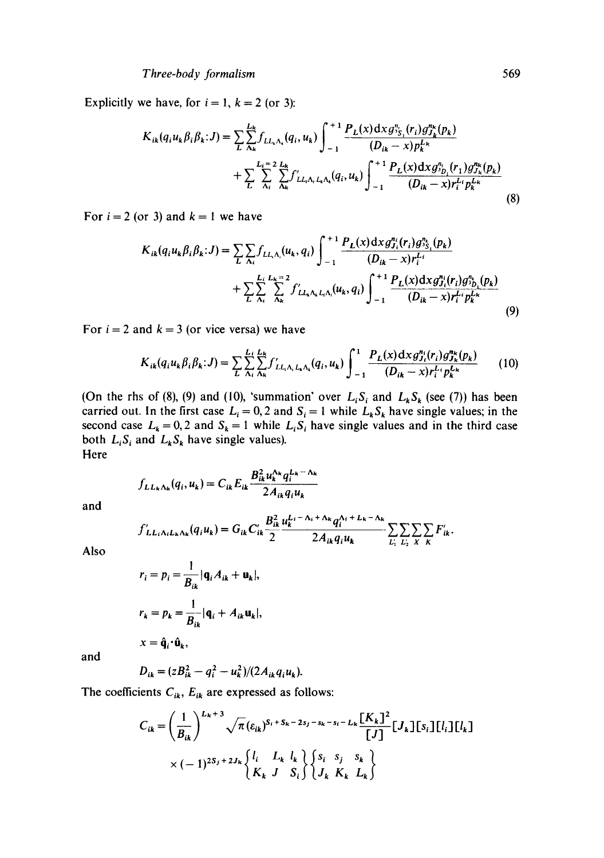Explicitly we have, for  $i = 1$ ,  $k = 2$  (or 3):

$$
K_{ik}(q_i u_k \beta_i \beta_k; J) = \sum_{L} \sum_{\Lambda_k}^{L_k} f_{LL_i \Lambda_i}(q_i, u_k) \int_{-1}^{+1} \frac{P_L(x) \, dx \, g_{\Lambda_i}^{q_i}(r_i) g_{J_k}^{n_k}(p_k)}{(D_{ik} - x) p_k^{L_k}} + \sum_{L} \sum_{\Lambda_i}^{L_k = 2} \sum_{\Lambda_k}^{L_k} f'_{LL_i \Lambda_i L_k \Lambda_k}(q_i, u_k) \int_{-1}^{+1} \frac{P_L(x) \, dx \, g_{\Lambda_i}^{q_i}(r_1) g_{J_k}^{n_k}(p_k)}{(D_{ik} - x) r_i^{L_i} p_k^{L_k}} \tag{8}
$$

For  $i = 2$  (or 3) and  $k = 1$  we have

$$
K_{ik}(q_i u_k \beta_i \beta_k; J) = \sum_{L} \sum_{\Lambda_i} f_{LL, \Lambda_i}(u_k, q_i) \int_{-1}^{+1} \frac{P_L(x) \, dx \, g_{J_i}^{n_i}(r_i) \, g_{J_{\Sigma_i}}^{n_k}(p_k)}{(D_{ik} - x) r_i^{L_i}} + \sum_{L} \sum_{\Lambda_i}^{L_i} \sum_{\Lambda_k}^{L_k = 2} f'_{LL, \Lambda_k L_i \Lambda_i}(u_k, q_i) \int_{-1}^{+1} \frac{P_L(x) \, dx \, g_{J_i}^{n_i}(r_i) \, g_{J_{\Sigma_i}}^{n_k}(p_k)}{(D_{ik} - x) r_i^{L_i} p_k^{L_k}} \tag{9}
$$

For  $i = 2$  and  $k = 3$  (or vice versa) we have

$$
K_{ik}(q_i u_k \beta_i \beta_k; J) = \sum_{L} \sum_{\Lambda_i}^{L_i} \sum_{\Lambda_k}^{L_k} f'_{LL_i \Lambda_i L_k \Lambda_k}(q_i, u_k) \int_{-1}^{1} \frac{P_L(x) \, dx \, g_{J_i}^{n_i}(r_i) \, g_{J_k}^{n_k}(p_k)}{(D_{ik} - x) r_i^{L_i} p_k^{L_k}} \qquad (10)
$$

(On the rhs of (8), (9) and (10), 'summation' over  $L_i S_i$  and  $L_k S_k$  (see (7)) has been carried out. In the first case  $L_i = 0, 2$  and  $S_i = 1$  while  $L_k S_k$  have single values; in the second case  $L_k = 0, 2$  and  $S_k = 1$  while  $L_i S_i$  have single values and in the third case both  $L_i S_i$  and  $L_k S_k$  have single values). Here

$$
f_{LL_k\Lambda_k}(q_i, u_k) = C_{ik} E_{ik} \frac{B_{ik}^2 u_k^{\Lambda_k} q_i^{L_k - \Lambda_k}}{2A_{ik} q_i u_k}
$$

and

$$
f'_{LL_iA_lL_kA_k}(q_iu_k) = G_{ik}C'_{ik}\frac{B_{ik}^2}{2}\frac{u_k^{L_i-\Delta_i+\Delta_k}q_i^{\Delta_i+L_k-\Delta_k}}{2A_{ik}q_iu_k}\sum_{L_i}\sum_{L_i}\sum_{X}\sum_{K}F'_{ik}.
$$

Also

$$
r_i = p_i = \frac{1}{B_{ik}} |\mathbf{q}_i A_{ik} + \mathbf{u}_k|,
$$
  

$$
r_k = p_k = \frac{1}{B_{ik}} |\mathbf{q}_i + A_{ik} \mathbf{u}_k|,
$$
  

$$
x = \hat{\mathbf{q}}_i \cdot \hat{\mathbf{u}}_k,
$$

and

$$
D_{ik} = (zB_{ik}^2 - q_i^2 - u_k^2)/(2A_{ik}q_iu_k).
$$

The coefficients  $C_{ik}$ ,  $E_{ik}$  are expressed as follows:

$$
C_{ik} = \left(\frac{1}{B_{ik}}\right)^{L_k+3} \sqrt{\pi} \left(\varepsilon_{ik}\right)^{S_i+S_k-2s_j-s_k-s_i-L_k} \frac{[K_k]^2}{[J]} [J_k] [s_i] [l_i] [l_k]
$$

$$
\times (-1)^{2S_j+2J_k} \begin{cases} l_i & L_k & l_k \\ K_k & J & S_i \end{cases} \begin{cases} s_i & s_j & s_k \\ J_k & K_k & L_k \end{cases}
$$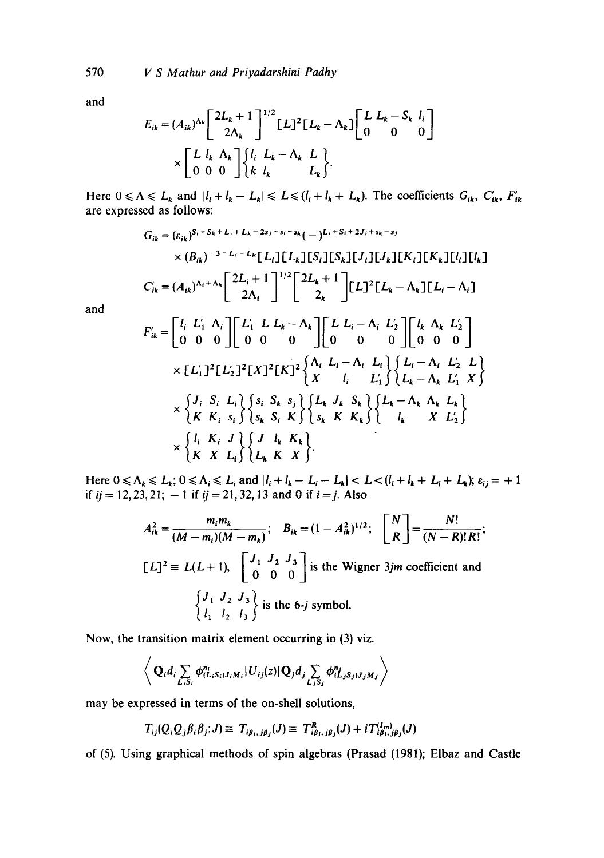and

$$
E_{ik} = (A_{ik})^{\Lambda_k} \begin{bmatrix} 2L_k + 1 \\ 2\Lambda_k \end{bmatrix}^{1/2} [L]^2 [L_k - \Lambda_k] \begin{bmatrix} L & L_k - S_k & l_i \\ 0 & 0 & 0 \end{bmatrix}
$$

$$
\times \begin{bmatrix} L & l_k & \Lambda_k \\ 0 & 0 & 0 \end{bmatrix} \begin{Bmatrix} l_i & L_k - \Lambda_k & L \\ k & l_k & L_k \end{Bmatrix}.
$$

Here  $0 \le \Lambda \le L_k$  and  $|l_i + l_k - L_k| \le L \le (l_i + l_k + L_k)$ . The coefficients  $G_{ik}$ ,  $C'_{ik}$ ,  $F'_{ik}$ are expressed as follows:

$$
G_{ik} = (\varepsilon_{ik})^{S_i + S_k + L_i + L_k - 2s_j - s_i - s_k} (-)^{L_i + S_i + 2J_i + s_k - s_j}
$$
  
\n
$$
\times (B_{ik})^{-3 - L_i - L_k} [L_i] [L_k] [S_i] [S_k] [J_i] [J_k] [K_i] [K_k] [L_i] [L_k]
$$
  
\n
$$
C'_{ik} = (A_{ik})^{\Lambda_i + \Lambda_k} \left[ \frac{2L_i + 1}{2\Lambda_i} \right]^{1/2} \left[ \frac{2L_k + 1}{2_k} \right] [L_i]^2 [L_k - \Lambda_k] [L_i - \Lambda_i]
$$
  
\n
$$
\left[ L L'_i, \Lambda_i \right] [L'_i, L L_k - \Lambda_i] [L L_i - \Lambda_i L'_i] [L_k, \Lambda_i, L'_i]
$$

and

$$
F'_{ik} = \begin{bmatrix} l_i & L'_1 & \Lambda_i \\ 0 & 0 & 0 \end{bmatrix} \begin{bmatrix} L'_1 & L & L_k - \Lambda_k \\ 0 & 0 & 0 \end{bmatrix} \begin{bmatrix} L & L_i - \Lambda_i & L'_2 \\ 0 & 0 & 0 \end{bmatrix} \begin{bmatrix} l_k & \Lambda_k & L'_2 \\ 0 & 0 & 0 \end{bmatrix}
$$
\n
$$
\times \begin{bmatrix} L'_1 \end{bmatrix}^2 \begin{bmatrix} L'_2 \end{bmatrix}^2 \begin{bmatrix} X \end{bmatrix}^2 \begin{bmatrix} K \end{bmatrix}^2 \begin{bmatrix} \Lambda_i & L_i - \Lambda_i & L_i \\ X & l_i & L'_1 \end{bmatrix} \begin{bmatrix} L_i - \Lambda_i & L'_2 & L \\ L_k - \Lambda_k & L'_1 & X \end{bmatrix}
$$
\n
$$
\times \begin{bmatrix} J_i & S_i & L_i \\ K & K_i & s_i \end{bmatrix} \begin{bmatrix} s_i & S_k & s_j \\ s_k & S_i & K \end{bmatrix} \begin{bmatrix} L_k & J_k & S_k \\ s_k & K & K_k \end{bmatrix} \begin{bmatrix} L_k - \Lambda_k & \Lambda_k & L_k \\ l_k & X & L'_2 \end{bmatrix}
$$
\n
$$
\times \begin{bmatrix} l_i & K_i & J \\ K & X & L_i \end{bmatrix} \begin{bmatrix} J & l_k & K_k \\ L_k & K & X \end{bmatrix}.
$$

Here  $0 \le \Lambda_k \le L_k$ ;  $0 \le \Lambda_i \le L_i$  and  $|l_i + l_k - L_i - L_k| < L < (l_i + l_k + L_i + L_k)$ ;  $\varepsilon_{ij} = +1$ if  $ij = 12,23,21; -1$  if  $ij = 21,32, 13$  and 0 if  $i = j$ . Also

$$
A_{ik}^{2} = \frac{m_{i}m_{k}}{(M - m_{i})(M - m_{k})}; \quad B_{ik} = (1 - A_{ik}^{2})^{1/2}; \quad \begin{bmatrix} N \\ R \end{bmatrix} = \frac{N!}{(N - R)!R!};
$$
  
\n
$$
[L]^{2} = L(L + 1), \quad \begin{bmatrix} J_{1} & J_{2} & J_{3} \\ 0 & 0 & 0 \end{bmatrix} \text{ is the Wigner } 3jm \text{ coefficient and}
$$
  
\n
$$
\begin{Bmatrix} J_{1} & J_{2} & J_{3} \\ l_{1} & l_{2} & l_{3} \end{Bmatrix} \text{ is the } 6-j \text{ symbol.}
$$

Now, the transition matrix element occurring in (3) viz.

$$
\left\langle \mathbf{Q}_i d_i \sum_{L_i S_i} \phi_{(L_i S_i) J_i M_i}^{n_i} | U_{ij}(z) | \mathbf{Q}_j d_j \sum_{L_j S_j} \phi_{(L_j S_j) J_j M_j}^{n_i} \right\rangle
$$

may be expressed in terms of the on-shell solutions,

$$
T_{ij}(Q_iQ_j\beta_i\beta_j;J) \equiv T_{i\beta_i,j\beta_j}(J) \equiv T_{i\beta_i,j\beta_j}^R(J) + iT_{i\beta_i,j\beta_j}^{(I_m)}(J)
$$

of (5). Using graphical methods of spin algebras (Prasad (1981); Elbaz and Castle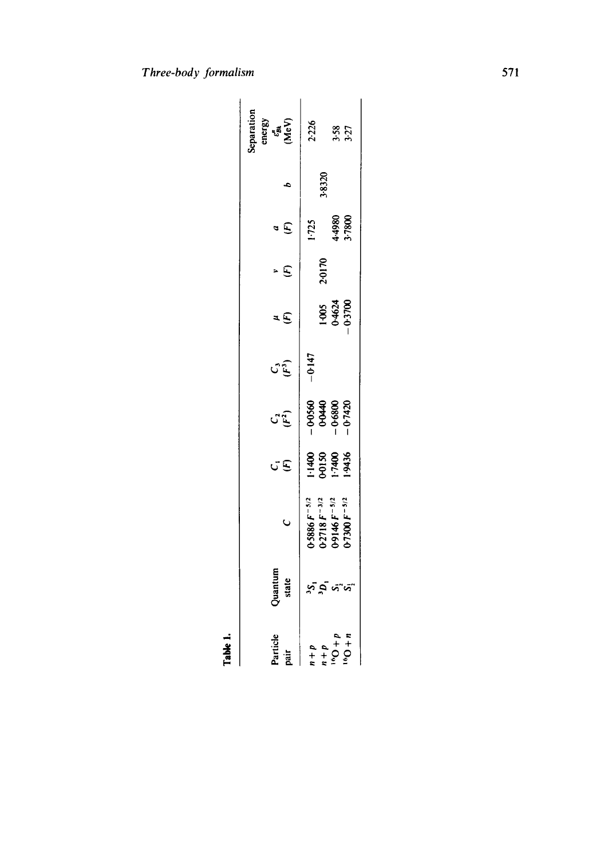| $\frac{1}{2}$                                                          |                     |                                                                                  |                                    |                                                 |          |                           |            |                         |        |                                                  |
|------------------------------------------------------------------------|---------------------|----------------------------------------------------------------------------------|------------------------------------|-------------------------------------------------|----------|---------------------------|------------|-------------------------|--------|--------------------------------------------------|
| Particle<br>pair                                                       | Quantum<br>state    | Ō                                                                                | σĒ                                 | <b>CE</b>                                       | ن<br>تار | ٤Ë                        | $\epsilon$ | $\boldsymbol{\epsilon}$ |        | Separation<br>energy<br>c <sub>on</sub><br>(MeV) |
|                                                                        |                     | $0.5886 F^{-5/2}$<br>0-2718 $F^{-3/2}$<br>0-9146 $F^{-5/2}$<br>0-7300 $F^{-5/2}$ | 9516-1<br>00120<br>9514-1<br>95436 | $-0.560$<br>$-0.6440$<br>$-0.6800$<br>$-0.7420$ | $-0.147$ |                           | 2.0170     | 1.725                   | \$8320 | 2.226                                            |
| $\begin{array}{c}\n a+1 \\  a+1 \\  a+1 \\  a+1 \\  a+1\n \end{array}$ | .<br>ຂໍອູນ <i>ນ</i> |                                                                                  |                                    |                                                 |          | 1-005<br>0-4624<br>0-3700 |            | 1.7800<br>0864.4        |        | 3.58                                             |

Table 1.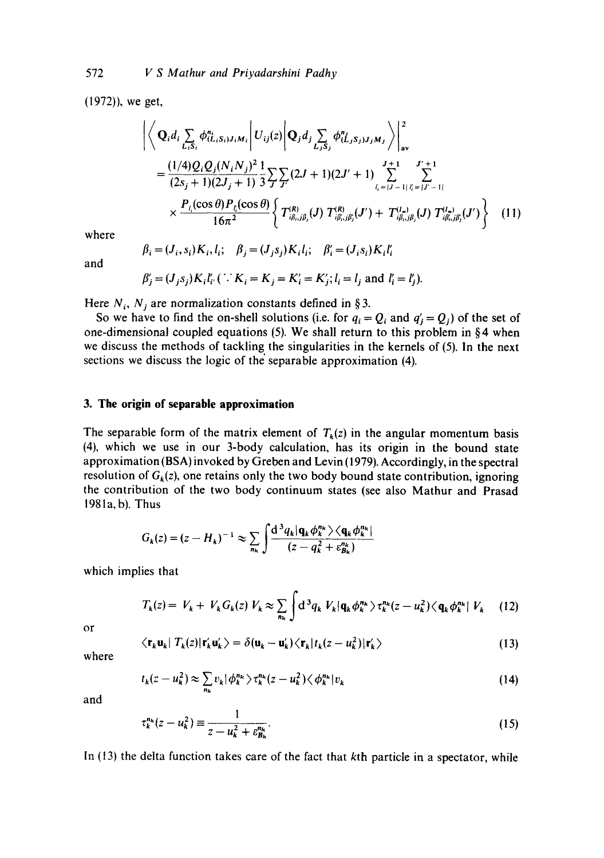(1972)), we get,

$$
\left| \left\langle \mathbf{Q}_{i} d_{i} \sum_{L_{i}S_{i}} \phi_{(L_{i}S_{i})J_{i}M_{i}}^{n_{i}} \right| U_{ij}(z) \left| \mathbf{Q}_{j} d_{j} \sum_{L_{j}S_{j}} \phi_{(L_{j}S_{j})J_{j}M_{j}}^{n_{j}} \right\rangle \right|_{\mathbf{av}}^{2}
$$
\n
$$
= \frac{(1/4)Q_{i}Q_{j}(N_{i}N_{j})^{2}}{(2s_{j}+1)(2J_{j}+1)} \frac{1}{3} \sum_{j} \sum_{j'} (2J+1)(2J'+1) \sum_{l_{i}=|J-1|}^{J+1} \sum_{l'_{i}=|J-1|}^{J'+1} \sum_{l'_{i}=|J-1|}^{J'+1} \sum_{l'_{i}=|J-1|}^{J'+1} \sum_{l'_{i}=|J-1|}^{J'+1} \sum_{l'_{i}=|J-1|}^{J'+1} \sum_{l'_{i}=|J-1|}^{J'+1} \sum_{l'_{i}=|J-1|}^{J'+1} \sum_{l'_{i}=|J-1|}^{J'+1} \sum_{l'_{i}=|J-1|}^{J'+1} \sum_{l'_{i}=|J-1|}^{J'+1} \sum_{l'_{i}=|J-1|}^{J'+1} \sum_{l'_{i}=|J-1|}^{J'+1} \sum_{l'_{i}=|J-1|}^{J'+1} \sum_{l'_{i}=|J-1|}^{J'+1} \sum_{l'_{i}=|J-1|}^{J'+1} \sum_{l'_{i}=|J-1|}^{J'+1} \sum_{l'_{i}=|J-1|}^{J'+1} \sum_{l'_{i}=|J-1|}^{J'+1} \sum_{l'_{i}=|J-1|}^{J'+1} \sum_{l'_{i}=|J-1|}^{J'+1} \sum_{l'_{i}=|J-1|}^{J'+1} \sum_{l'_{i}=|J-1|}^{J'+1} \sum_{l'_{i}=|J-1|}^{J'+1} \sum_{l'_{i}=|J-1|}^{J'+1} \sum_{l'_{i}=|J-1|}^{J'+1} \sum_{l'_{i}=|J-1|}^{J'+1} \sum_{l'_{i}=|J-1|}^{J'+1} \sum_{l'_{i}=|J-1|}^{J
$$

where

$$
\beta_i = (J_i, s_i)K_i, l_i; \quad \beta_j = (J_j s_j)K_i l_i; \quad \beta'_i = (J_i s_i)K_i l'_i
$$

and

$$
\beta'_{j} = (J_{j} s_{j}) K_{i} l'_{i'} \quad (i \cdot K_{i} = K_{j} = K'_{i} = K'_{j}; l_{i} = l_{j} \text{ and } l'_{i} = l'_{j}).
$$

Here  $N_i$ ,  $N_j$  are normalization constants defined in §3.

So we have to find the on-shell solutions (i.e. for  $q_i = Q_i$  and  $q'_i = Q_j$ ) of the set of one-dimensional coupled equations (5). We shall return to this problem in § 4 when we discuss the methods of tackling the singularities in the kernels of (5). In the next sections we discuss the logic of the separable approximation (4).

# **3. The origin of separable approximation**

The separable form of the matrix element of  $T_k(z)$  in the angular momentum basis (4), which we use in our 3-body calculation, has its origin in the bound state approximation (BSA) invoked by Greben and Levin (1979). Accordingly, in the spectral resolution of  $G_k(z)$ , one retains only the two body bound state contribution, ignoring the contribution of the two body continuum states (see also Mathur and Prasad 1981a, b). Thus

$$
G_k(z) = (z - H_k)^{-1} \approx \sum_{n_k} \int \frac{\mathrm{d}^3 q_k |\mathbf{q}_k \phi_k^{n_k}\rangle \langle \mathbf{q}_k \phi_k^{n_k}|}{(z - q_k^2 + \varepsilon_{B_k}^{n_k})}
$$

which implies that

$$
T_k(z) = V_k + V_k G_k(z) V_k \approx \sum_{n_k} \int d^3 q_k V_k | \mathbf{q}_k \phi_k^{n_k} \rangle \tau_k^{n_k}(z - u_k^2) \langle \mathbf{q}_k \phi_k^{n_k} | V_k \quad (12)
$$

or

$$
\langle \mathbf{r}_k \mathbf{u}_k | T_k(z) | \mathbf{r}'_k \mathbf{u}'_k \rangle = \delta(\mathbf{u}_k - \mathbf{u}'_k) \langle \mathbf{r}_k | t_k(z - u_k^2) | \mathbf{r}'_k \rangle \tag{13}
$$

where

$$
t_k(z - u_k^2) \approx \sum_{n_k} v_k |\phi_k^{n_k} \rangle \tau_k^{n_k}(z - u_k^2) \langle \phi_k^{n_k} | v_k \qquad (14)
$$

and

$$
\tau_k^{n_k}(z - u_k^2) \equiv \frac{1}{z - u_k^2 + \varepsilon_{B_k}^{n_k}}.\tag{15}
$$

In (13) the delta function takes care of the fact that kth particle in a spectator, while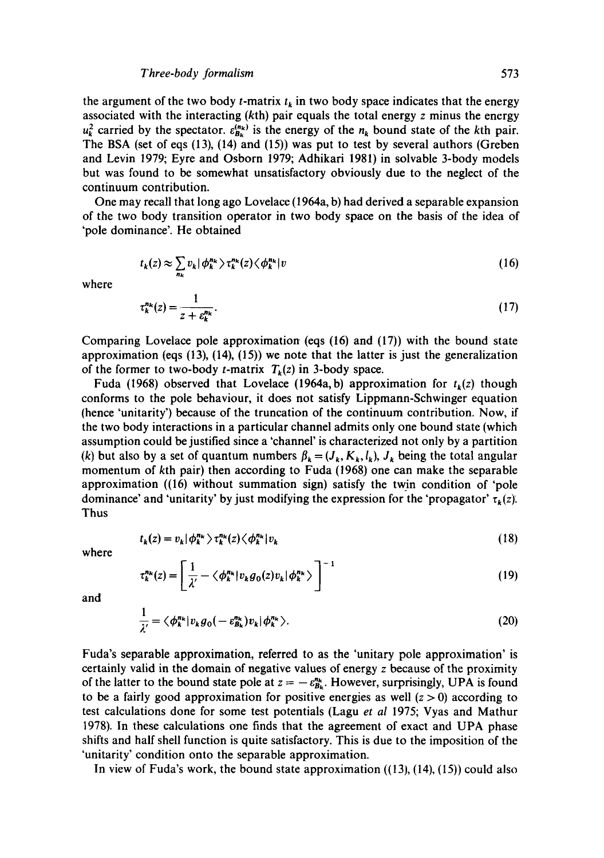the argument of the two body *t*-matrix  $t_k$  in two body space indicates that the energy associated with the interacting (kth) pair equals the total energy z minus the energy  $u_k^2$  carried by the spectator.  $\varepsilon_{B_k}^{(n_k)}$  is the energy of the  $n_k$  bound state of the kth pair. The BSA (set of eqs (13), (14) and (15)) was put to test by several authors (Greben and Levin 1979; Eyre and Osborn 1979; Adhikari 1981) in solvable 3-body models but was found to be somewhat unsatisfactory obviously due to the neglect of the continuum contribution.

One may recall that long ago Lovelace (1964a, b) had derived a separable expansion of the two body transition operator in two body space on the basis of the idea of 'pole dominance'. He obtained

$$
t_k(z) \approx \sum_{n_k} v_k |\phi_k^{n_k} \rangle \tau_k^{n_k}(z) \langle \phi_k^{n_k} | v \qquad (16)
$$

where

$$
\tau_k^{n_k}(z) = \frac{1}{z + \varepsilon_k^{n_k}}.\tag{17}
$$

Comparing Lovelace pole approximation (eqs (16) and (17)) with the bound state approximation (eqs  $(13)$ ,  $(14)$ ,  $(15)$ ) we note that the latter is just the generalization of the former to two-body *t*-matrix  $T_k(z)$  in 3-body space.

Fuda (1968) observed that Lovelace (1964a, b) approximation for  $t_k(z)$  though conforms to the pole behaviour, it does not satisfy Lippmann-Schwinger equation (hence 'unitarity') because of the truncation of the continuum contribution. Now, if the two body interactions in a particular channel admits only one bound state (which assumption could be justified since a 'channel' is characterized not only by a partition (k) but also by a set of quantum numbers  $\beta_k = (J_k, K_k, l_k)$ ,  $J_k$  being the total angular momentum of kth pair) then according to Fuda (1968) one can make the separable approximation ((16) without summation sign) satisfy the twin condition of 'pole dominance' and 'unitarity' by just modifying the expression for the 'propagator'  $\tau_k(z)$ . Thus

$$
t_k(z) = v_k |\phi_k^{n_k} \rangle \tau_k^{n_k}(z) \langle \phi_k^{n_k} | v_k \qquad (18)
$$

where

$$
\tau_k^{n_k}(z) = \left[ \frac{1}{\lambda'} - \langle \phi_k^{n_k} | v_k g_0(z) v_k | \phi_k^{n_k} \rangle \right]^{-1} \tag{19}
$$

and

$$
\frac{1}{\lambda'} = \langle \phi_k^{n_k} | v_k g_0(-\varepsilon_{B_k}^{n_k}) v_k | \phi_k^{n_k} \rangle. \tag{20}
$$

Fuda's separable approximation, referred to as the 'unitary pole approximation' is certainly valid in the domain of negative values of energy z because of the proximity of the latter to the bound state pole at  $z = -\varepsilon_{B_k}^{n_k}$ . However, surprisingly, UPA is found to be a fairly good approximation for positive energies as well  $(z > 0)$  according to test calculations done for some test potentials (Lagu *et al* 1975; Vyas and Mathur 1978). In these calculations one finds that the agreement of exact and UPA phase shifts and half shell function is quite satisfactory. This is due to the imposition of the 'unitarity' condition onto the separable approximation.

In view of Fuda's work, the bound state approximation ((13), (14), (15)) could also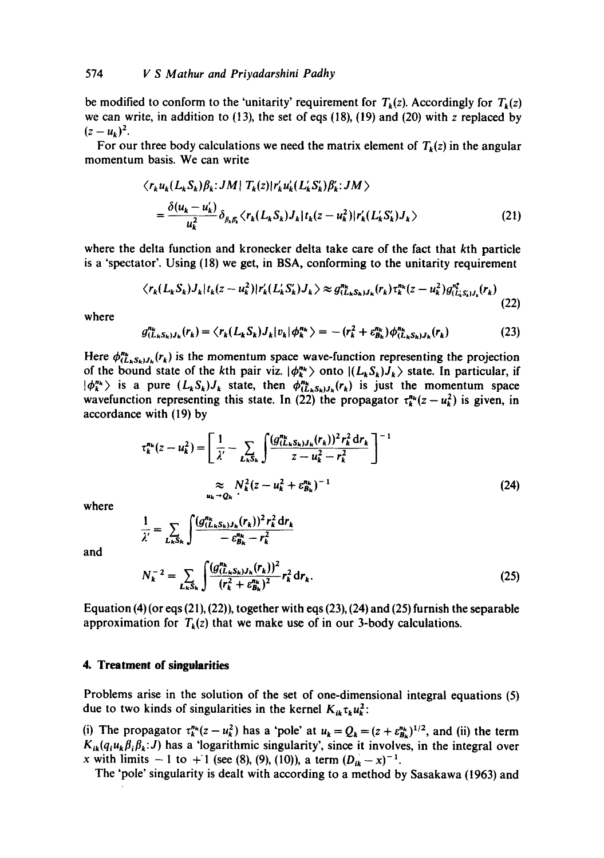be modified to conform to the 'unitarity' requirement for  $T_k(z)$ . Accordingly for  $T_k(z)$ we can write, in addition to  $(13)$ , the set of eqs  $(18)$ ,  $(19)$  and  $(20)$  with z replaced by  $(z - u_k)^2$ .

For our three body calculations we need the matrix element of  $T_k(z)$  in the angular momentum basis. We can write

$$
\langle r_k u_k (L_k S_k) \beta_k : JM \mid T_k(z) \mid r'_k u'_k (L'_k S'_k) \beta'_k : JM \rangle
$$
  
= 
$$
\frac{\delta(u_k - u'_k)}{u_k^2} \delta_{\beta_k \beta_k} \langle r_k (L_k S_k) J_k \mid t_k(z - u_k^2) \mid r'_k (L'_k S'_k) J_k \rangle
$$
 (21)

where the delta function and kronecker delta take care of the fact that kth particle is a 'spectator'. Using (18) we get, in BSA, conforming to the unitarity requirement

$$
\langle r_{k}(L_{k}S_{k})J_{k}|t_{k}(z-u_{k}^{2})|r_{k}'(L_{k}'S_{k}')J_{k}\rangle \approx g_{(L_{k}S_{k})J_{k}}^{n_{k}}(r_{k})\tau_{k}^{n_{k}}(z-u_{k}^{2})g_{(L_{k}'S_{k})J_{k}}^{n_{k}}(r_{k})
$$
\n(22)

where

$$
g_{(L_k S_k)J_k}^{n_k}(r_k) = \langle r_k(L_k S_k)J_k | v_k | \phi_k^{n_k} \rangle = -(r_k^2 + \varepsilon_{B_k}^{n_k}) \phi_{(L_k S_k)J_k}^{n_k}(r_k)
$$
(23)

Here  $\phi_{(L_k S_k)J_k}^{n_k}(r_k)$  is the momentum space wave-function representing the projection of the bound state of the kth pair viz.  $|\phi_k^{n_k}\rangle$  onto  $|(L_kS_k)J_k\rangle$  state. In particular, if  $|\phi_k^{n_k}\rangle$  is a pure  $(L_kS_k)J_k$  state, then  $\phi_{(L_kS_k)J_k}^{n_k}(r_k)$  is just the momentum space wavefunction representing this state. In (22) the propagator  $\tau_k^{n_k}(z - u_k^2)$  is given, in accordance with (19) by

$$
\tau_k^{n_k}(z - u_k^2) = \left[ \frac{1}{\lambda'} - \sum_{L_k S_k} \int \frac{(g_{(L_k S_k)J_k}(r_k))^2 r_k^2 dr_k}{z - u_k^2 - r_k^2} \right]^{-1}
$$
  

$$
\approx N_k^2 (z - u_k^2 + \varepsilon_{B_k}^{n_k})^{-1}
$$
  

$$
u_k \to Q_k
$$
 (24)

where

$$
\frac{1}{\lambda'} = \sum_{L_k S_k} \int \frac{(g_{(L_k S_k)J_k}^{n_k}(r_k))^2 r_k^2 dr_k}{-c_{B_k}^{n_k} - r_k^2}
$$

and

$$
N_k^{-2} = \sum_{L_k S_k} \int \frac{(g_{(L_k S_k)J_k}^{n_k}(r_k))^2}{(r_k^2 + \varepsilon_{B_k}^{n_k})^2} r_k^2 dr_k.
$$
 (25)

Equation (4) (or eqs (21), (22)), together with eqs (23), (24) and (25) furnish the separable approximation for  $T_k(z)$  that we make use of in our 3-body calculations.

#### **4. Treatment of singularities**

Problems arise in the solution of the set of one-dimensional integral equations (5) due to two kinds of singularities in the kernel  $K_{ik} \tau_k u_k^2$ :

(i) The propagator  $\tau_k^{n_k}(z - u_k^2)$  has a 'pole' at  $u_k = Q_k = (z + \varepsilon_{B_k}^{n_k})^{1/2}$ , and (ii) the term  $K_{ik}(q_iu_k\beta_i\beta_k; J)$  has a 'logarithmic singularity', since it involves, in the integral over x with limits  $-1$  to  $+1$  (see (8), (9), (10)), a term  $(D_{ik} - x)^{-1}$ .

The 'pole' singularity is dealt with according to a method by Sasakawa (1963) and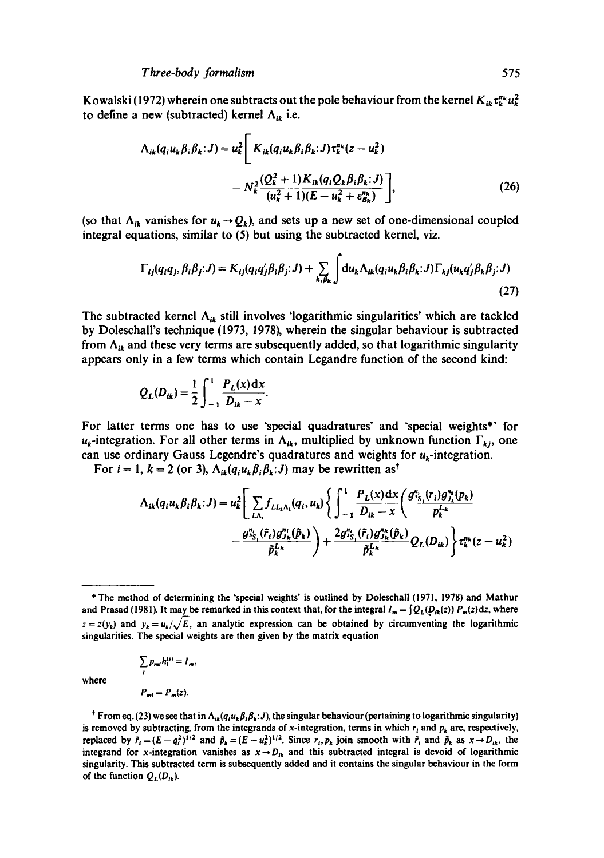Kowalski (1972) wherein one subtracts out the pole behaviour from the kernel  $K_{ik} \tau_k^{n_k} u_k^2$ to define a new (subtracted) kernel  $\Lambda_{ik}$  i.e.

$$
\Lambda_{ik}(q_i u_k \beta_i \beta_k; J) = u_k^2 \left[ K_{ik}(q_i u_k \beta_i \beta_k; J) \tau_k^{n_k}(z - u_k^2) - N_k^2 \frac{(Q_k^2 + 1) K_{ik}(q_i Q_k \beta_i \beta_k; J)}{(u_k^2 + 1)(E - u_k^2 + \varepsilon_{B_k}^{n_k})} \right],
$$
\n(26)

(so that  $\Lambda_{ik}$  vanishes for  $u_k \rightarrow Q_k$ ), and sets up a new set of one-dimensional coupled integral equations, similar to (5) but using the subtracted kernel, viz.

$$
\Gamma_{ij}(q_i q_j, \beta_i \beta_j; J) = K_{ij}(q_i q'_j \beta_i \beta_j; J) + \sum_{k, \beta_k} \int du_k \Lambda_{ik}(q_i u_k \beta_i \beta_k; J) \Gamma_{kj}(u_k q'_j \beta_k \beta_j; J)
$$
\n(27)

The subtracted kernel  $\Lambda_{ik}$  still involves 'logarithmic singularities' which are tackled by Doleschall's technique (1973, 1978), wherein the singular behaviour is subtracted from  $\Lambda_{ik}$  and these very terms are subsequently added, so that logarithmic singularity appears only in a few terms which contain Legandre function of the second kind:

$$
Q_L(D_{ik}) = \frac{1}{2} \int_{-1}^{1} \frac{P_L(x) dx}{D_{ik} - x}.
$$

For latter terms one has to use 'special quadratures' and 'special weights\*' for  $u_k$ -integration. For all other terms in  $\Lambda_{ik}$ , multiplied by unknown function  $\Gamma_{kj}$ , one can use ordinary Gauss Legendre's quadratures and weights for  $u_k$ -integration.

For  $i = 1$ ,  $k = 2$  (or 3),  $\Lambda_{ik}(q_i u_k \beta_i \beta_k : J)$  may be rewritten as<sup>†</sup>

$$
\Lambda_{ik}(q_i u_k \beta_i \beta_k; J) = u_k^2 \left[ \sum_{L \Lambda_k} f_{L L_k \Lambda_k}(q_i, u_k) \left\{ \int_{-1}^1 \frac{P_L(x) dx}{D_{ik} - x} \left( \frac{g_{iS_1}^{n_i}(r_i) g_{j_k}^{n_i}(p_k)}{p_k^{L_k}} \right) \right. \right. \\ \left. - \frac{g_{iS_1}^{n_i}(\tilde{r}_i) g_{j_k}^{n_i}(\tilde{p}_k)}{\tilde{p}_k^{L_k}} \right) + \frac{2g_{iS_1}^{n_i}(\tilde{r}_i) g_{j_k}^{n_k}(\tilde{p}_k)}{\tilde{p}_k^{L_k}} Q_L(D_{ik}) \left\} \tau_k^{n_k}(z - u_k^2)
$$

$$
\sum_{l} p_{ml} h_l^{(s)} = I_m,
$$
  

$$
P_{ml} = P_m(z).
$$

where

<sup>\*</sup> From eq. (23) we see that in  $\Lambda_{ik}(q_i u_k \beta_i \beta_k; J)$ , the singular behaviour (pertaining to logarithmic singularity) is removed by subtracting, from the integrands of x-integration, terms in which  $r_i$  and  $p_k$  are, respectively, replaced by  $\tilde{r}_i=(E-q_i^2)^{1/2}$  and  $\tilde{p}_k=(E-u_k^2)^{1/2}$ . Since  $r_i, p_k$  join smooth with  $\tilde{r}_i$  and  $\tilde{p}_k$  as  $x\rightarrow D_{lk}$ , the integrand for x-integration vanishes as  $x \rightarrow D_{ik}$  and this subtracted integral is devoid of logarithmic singularity. This subtracted term is subsequently added and it contains the singular behaviour in the form of the function  $Q_L(D_{ik})$ .

<sup>\*</sup> The method of determining the 'special weights' is outlined by Doleschaii (1971, 1978) and Mathur and Prasad (1981). It may be remarked in this context that, for the integral  $I_m = \int Q_L(D_{ik}(z)) P_m(z) dz$ , where  $z = z(y_k)$  and  $y_k = u_k/\sqrt{E}$ , an analytic expression can be obtained by circumventing the logarithmic singularities. The special weights are then given by the matrix equation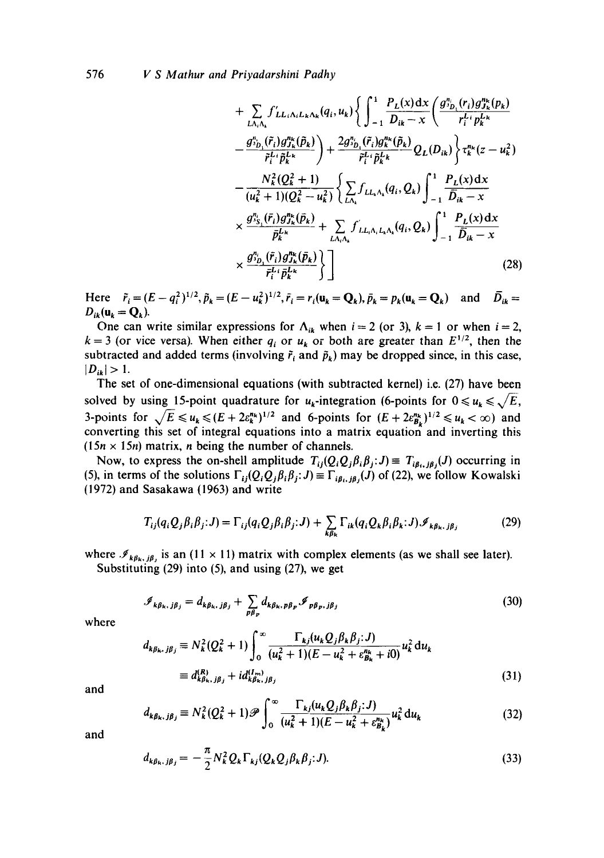576 *V S Mathur and Priyadarshini Padhy* 

$$
+\sum_{L\Lambda_{i}\Lambda_{k}} f'_{LL_{i}\Lambda_{i}L_{k}\Lambda_{k}}(q_{i},u_{k}) \left\{ \int_{-1}^{1} \frac{P_{L}(x)dx}{D_{ik}-x} \left( \frac{g_{\nu_{D_{i}}}^{n_{i}}(r_{i})g_{\nu_{k}}^{n_{k}}(p_{k})}{r_{i}^{L_{i}}p_{k}^{L_{k}}} - \frac{g_{\nu_{D_{i}}}^{n_{i}}(\tilde{r}_{i})g_{\nu_{k}}^{n_{k}}(\tilde{p}_{k})}{\tilde{r}_{i}^{L_{i}}\tilde{p}_{k}^{L_{k}}} \right) + \frac{2g_{\nu_{D_{i}}}^{n_{i}}(\tilde{r}_{i})g_{\nu_{k}}^{n_{k}}(\tilde{p}_{k})}{\tilde{r}_{i}^{L_{i}}\tilde{p}_{k}^{L_{k}}} Q_{L}(D_{ik}) \left\{ r_{k}^{n_{k}}(z-u_{k}^{2}) - \frac{N_{k}^{2}(Q_{k}^{2}+1)}{(u_{k}^{2}+1)(Q_{k}^{2}-u_{k}^{2})} \left\{ \sum_{L\Lambda_{k}} f_{LL_{k}\Lambda_{k}}(q_{i},Q_{k}) \right\}_{-1}^{1} \frac{P_{L}(x)dx}{\tilde{D}_{ik}-x} \right. \times \frac{g_{\nu_{S_{i}}}^{n_{i}}(\tilde{r}_{i})g_{\nu_{k}}^{n_{k}}(\tilde{p}_{k})}{\tilde{p}_{k}^{L_{k}}} + \sum_{L\Lambda_{i}\Lambda_{k}} f'_{LL_{i}\Lambda_{i}L_{k}\Lambda_{k}}(q_{i},Q_{k}) \int_{-1}^{1} \frac{P_{L}(x)dx}{\tilde{D}_{ik}-x} \times \frac{g_{\nu_{D_{i}}}^{n_{i}}(\tilde{r}_{i})g_{\nu_{k}}^{n_{k}}(\tilde{p}_{k})}{\tilde{r}_{i}^{L_{i}}\tilde{p}_{k}^{L_{k}}} \right\} \right] \tag{28}
$$

Here  $\tilde{r}_i = (E - q_i^2)^{1/2}, \tilde{p}_k = (E - u_k^2)^{1/2}, \tilde{r}_i = r_i(\mathbf{u}_k = \mathbf{Q}_k), \bar{p}_k = p_k(\mathbf{u}_k = \mathbf{Q}_k)$  and  $\bar{D}_{ik} =$  $D_{ik}(\mathbf{u}_k = \mathbf{Q}_k).$ 

One can write similar expressions for  $\Lambda_{ik}$  when  $i=2$  (or 3),  $k=1$  or when  $i=2$ ,  $k = 3$  (or vice versa). When either  $q_i$  or  $u_k$  or both are greater than  $E^{1/2}$ , then the subtracted and added terms (involving  $\tilde{r}_i$  and  $\tilde{p}_k$ ) may be dropped since, in this case,  $|D_{ik}| > 1$ .

The set of one-dimensional equations (with subtracted kernel) i.e. (27) have been solved by using 15-point quadrature for  $u_k$ -integration (6-points for  $0 \le u_k \le \sqrt{E}$ , 3-points for  $\sqrt{E} \leq u_k \leq (E + 2\varepsilon_k^{n_k})^{1/2}$  and 6-points for  $(E + 2\varepsilon_{B_k}^{n_k})^{1/2} \leq u_k < \infty$  and converting this set of integral equations into a matrix equation and inverting this  $(15n \times 15n)$  matrix, *n* being the number of channels.

Now, to express the on-shell amplitude  $T_{ij}(Q_iQ_j\beta_i\beta_j;J)\equiv T_{i\beta_i,j\beta_j}(J)$  occurring in (5), in terms of the solutions  $\Gamma_{ij}(Q_iQ_j\beta_i\beta_j;J) \equiv \Gamma_{i\beta_i,j\beta_j}(J)$  of (22), we follow Kowalski (1972) and Sasakawa (1963) and write

$$
T_{ij}(q_i Q_j \beta_i \beta_j; J) = \Gamma_{ij}(q_i Q_j \beta_i \beta_j; J) + \sum_{k \beta_k} \Gamma_{ik}(q_i Q_k \beta_i \beta_k; J) \mathcal{I}_{k \beta_k, j \beta_j}
$$
(29)

where  $\mathcal{I}_{k\beta_k, j\beta_j}$  is an (11 x 11) matrix with complex elements (as we shall see later).

Substituting (29) into (5), and using (27), we get

$$
\mathscr{I}_{k\beta_{k},\,j\beta_{j}} = d_{k\beta_{k},\,j\beta_{j}} + \sum_{p\beta_{p}} d_{k\beta_{k},\,p\beta_{p}} \mathscr{I}_{p\beta_{p},\,j\beta_{j}} \tag{30}
$$

where

$$
d_{k\beta_{k},\,j\beta_{j}} \equiv N_{k}^{2}(Q_{k}^{2}+1)\int_{0}^{\infty}\frac{\Gamma_{kj}(u_{k}Q_{j}\beta_{k}\beta_{j};J)}{(u_{k}^{2}+1)(E-u_{k}^{2}+\varepsilon_{B_{k}}^{n_{k}}+i0)}u_{k}^{2}\,\mathrm{d}u_{k}
$$

$$
\equiv d_{k\beta_{k},\,j\beta_{j}}^{(R)}+id_{k\beta_{k},\,j\beta_{j}}^{(I_{m})}
$$
(31)

and

$$
d_{k\beta_{k},j\beta_{j}} \equiv N_{k}^{2}(Q_{k}^{2}+1)\mathscr{P}\int_{0}^{\infty} \frac{\Gamma_{kj}(u_{k}Q_{j}\beta_{k}\beta_{j};J)}{(u_{k}^{2}+1)(E-u_{k}^{2}+\varepsilon_{B_{k}}^{n_{k}})}u_{k}^{2}du_{k}
$$
(32)

and

$$
d_{k\beta_k,j\beta_j} = -\frac{\pi}{2} N_k^2 Q_k \Gamma_{kj} (Q_k Q_j \beta_k \beta_j; J). \tag{33}
$$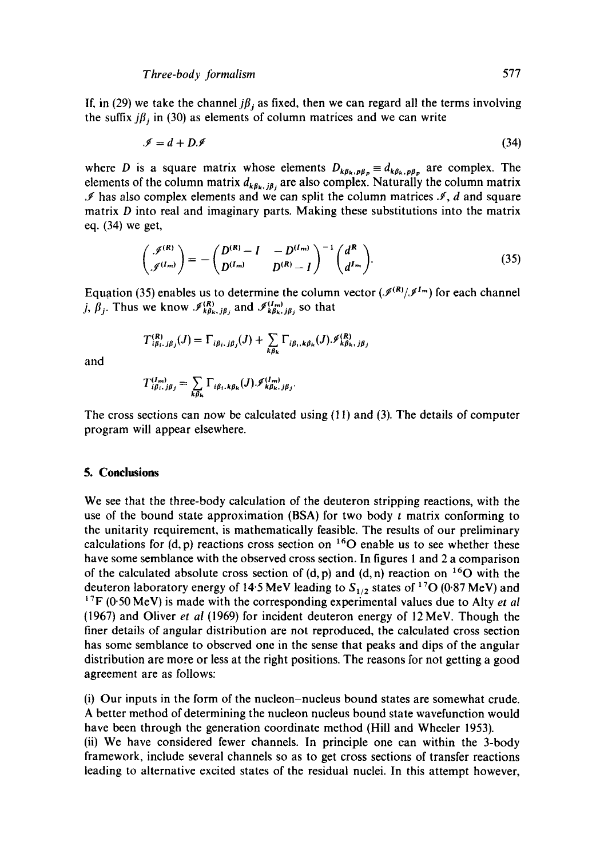If. in (29) we take the channel  $j\beta_j$  as fixed, then we can regard all the terms involving the suffix  $j\beta_j$  in (30) as elements of column matrices and we can write

$$
\mathscr{I} = d + D\mathscr{I} \tag{34}
$$

where D is a square matrix whose elements  $D_{k\beta_k, p\beta_p} \equiv d_{k\beta_k, p\beta_p}$  are complex. The elements of the column matrix  $d_{k\beta_k, j\beta_j}$  are also complex. Naturally the column matrix **9** has also complex elements and we can split the column matrices *3, d* and square matrix **D** into real and imaginary parts. Making these substitutions into the matrix eq. (34) we get,

$$
\begin{pmatrix} \mathscr{I}^{(R)} \\ \mathscr{I}^{(I_m)} \end{pmatrix} = - \begin{pmatrix} D^{(R)} - I & -D^{(I_m)} \\ D^{(I_m)} & D^{(R)} - I \end{pmatrix}^{-1} \begin{pmatrix} d^R \\ d^{I_m} \end{pmatrix}.
$$
 (35)

Equation (35) enables us to determine the column vector ( $\mathcal{I}^{(R)}/\mathcal{I}^{I_m}$ ) for each channel j,  $\beta_j$ . Thus we know  $\mathcal{I}_{k\beta_k,j\beta_j}^{(R)}$  and  $\mathcal{I}_{k\beta_k,j\beta_j}^{(I_m)}$  so that

$$
T_{i\beta_i,j\beta_j}^{(R)}(J) = \Gamma_{i\beta_i,j\beta_j}(J) + \sum_{k\beta_k} \Gamma_{i\beta_i,k\beta_k}(J) \mathcal{I}_{k\beta_k,j\beta_k}^{(R)}
$$

and

$$
T_{i\beta_i,j\beta_j}^{(I_m)} = \sum_{k\beta_k} \Gamma_{i\beta_i,k\beta_k}(J) \mathcal{I}_{k\beta_k,j\beta_j}^{(I_m)}
$$

The cross sections can now be calculated using (1 1) and **(3).** The details of computer program will appear elsewhere.

# **5. Conclusions**

We see that the three-body calculation of the deuteron stripping reactions, with the use of the bound state approximation (BSA) for two body *t* matrix conforming to the unitarity requirement, is mathematically feasible. The results of our preliminary calculations for  $(d, p)$  reactions cross section on  $^{16}$ O enable us to see whether these have some semblance with the observed cross section. In figures 1 and 2 a comparison of the calculated absolute cross section of (d, p) and (d, n) reaction on **160** with the deuteron laboratory energy of 14.5 MeV leading to  $S_{1/2}$  states of <sup>17</sup>O (0.87 MeV) and <sup>17</sup>F (0.50 MeV) is made with the corresponding experimental values due to Alty *et al* (1967) and Oliver *et a1* (1969) for incident deuteron energy of 12 MeV. Though the finer details of angular distribution are not reproduced, the calculated cross section has some semblance to observed one in the sense that peaks and dips of the angular distribution are more or less at the right positions. The reasons for not getting a good agreement are as follows:

(i) Our inputs in the form of the nucleon-nucleus bound states are somewhat crude. A better method of determining the nucleon nucleus bound state wavefunction would have been through the generation coordinate method (Hill and Wheeler 1953). (ii) We have considered fewer channels. In principle one can within the 3-body

framework, include several channels so as to get cross sections of transfer reactions leading to alternative excited states of the residual nuclei. In this attempt however,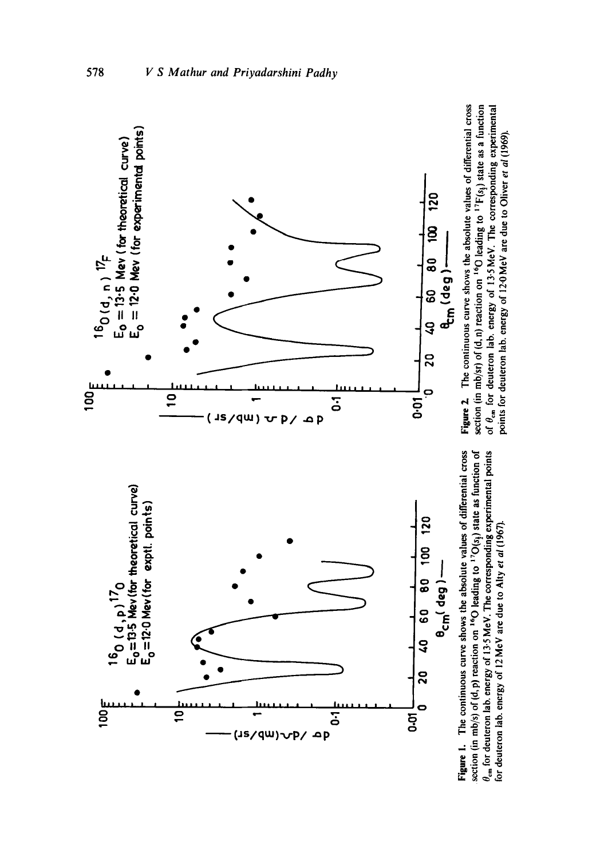

578